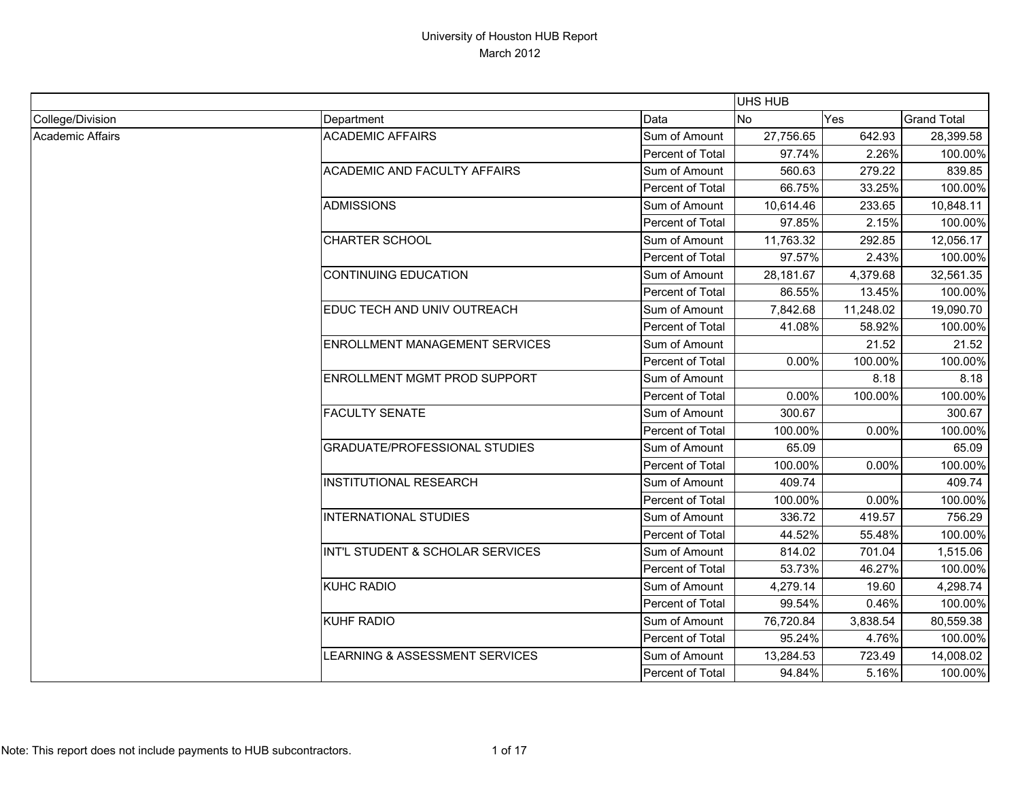|                  |                                       |                  | UHS HUB        |            |                    |
|------------------|---------------------------------------|------------------|----------------|------------|--------------------|
| College/Division | Department                            | Data             | N <sub>o</sub> | <b>Yes</b> | <b>Grand Total</b> |
| Academic Affairs | <b>ACADEMIC AFFAIRS</b>               | Sum of Amount    | 27,756.65      | 642.93     | 28,399.58          |
|                  |                                       | Percent of Total | 97.74%         | 2.26%      | 100.00%            |
|                  | <b>ACADEMIC AND FACULTY AFFAIRS</b>   | Sum of Amount    | 560.63         | 279.22     | 839.85             |
|                  |                                       | Percent of Total | 66.75%         | 33.25%     | 100.00%            |
|                  | <b>ADMISSIONS</b>                     | Sum of Amount    | 10,614.46      | 233.65     | 10,848.11          |
|                  |                                       | Percent of Total | 97.85%         | 2.15%      | 100.00%            |
|                  | <b>CHARTER SCHOOL</b>                 | Sum of Amount    | 11,763.32      | 292.85     | 12,056.17          |
|                  |                                       | Percent of Total | 97.57%         | 2.43%      | 100.00%            |
|                  | <b>CONTINUING EDUCATION</b>           | Sum of Amount    | 28,181.67      | 4,379.68   | 32,561.35          |
|                  |                                       | Percent of Total | 86.55%         | 13.45%     | 100.00%            |
|                  | EDUC TECH AND UNIV OUTREACH           | Sum of Amount    | 7,842.68       | 11,248.02  | 19,090.70          |
|                  |                                       | Percent of Total | 41.08%         | 58.92%     | 100.00%            |
|                  | <b>ENROLLMENT MANAGEMENT SERVICES</b> | Sum of Amount    |                | 21.52      | 21.52              |
|                  |                                       | Percent of Total | 0.00%          | 100.00%    | 100.00%            |
|                  | ENROLLMENT MGMT PROD SUPPORT          | Sum of Amount    |                | 8.18       | 8.18               |
|                  |                                       | Percent of Total | 0.00%          | 100.00%    | 100.00%            |
|                  | <b>FACULTY SENATE</b>                 | Sum of Amount    | 300.67         |            | 300.67             |
|                  |                                       | Percent of Total | 100.00%        | 0.00%      | 100.00%            |
|                  | <b>GRADUATE/PROFESSIONAL STUDIES</b>  | Sum of Amount    | 65.09          |            | 65.09              |
|                  |                                       | Percent of Total | 100.00%        | 0.00%      | 100.00%            |
|                  | <b>INSTITUTIONAL RESEARCH</b>         | Sum of Amount    | 409.74         |            | 409.74             |
|                  |                                       | Percent of Total | 100.00%        | 0.00%      | 100.00%            |
|                  | <b>INTERNATIONAL STUDIES</b>          | Sum of Amount    | 336.72         | 419.57     | 756.29             |
|                  |                                       | Percent of Total | 44.52%         | 55.48%     | 100.00%            |
|                  | INT'L STUDENT & SCHOLAR SERVICES      | Sum of Amount    | 814.02         | 701.04     | 1,515.06           |
|                  |                                       | Percent of Total | 53.73%         | 46.27%     | 100.00%            |
|                  | <b>KUHC RADIO</b>                     | Sum of Amount    | 4,279.14       | 19.60      | 4,298.74           |
|                  |                                       | Percent of Total | 99.54%         | 0.46%      | 100.00%            |
|                  | <b>KUHF RADIO</b>                     | Sum of Amount    | 76,720.84      | 3,838.54   | 80,559.38          |
|                  |                                       | Percent of Total | 95.24%         | 4.76%      | 100.00%            |
|                  | LEARNING & ASSESSMENT SERVICES        | Sum of Amount    | 13,284.53      | 723.49     | 14,008.02          |
|                  |                                       | Percent of Total | 94.84%         | 5.16%      | 100.00%            |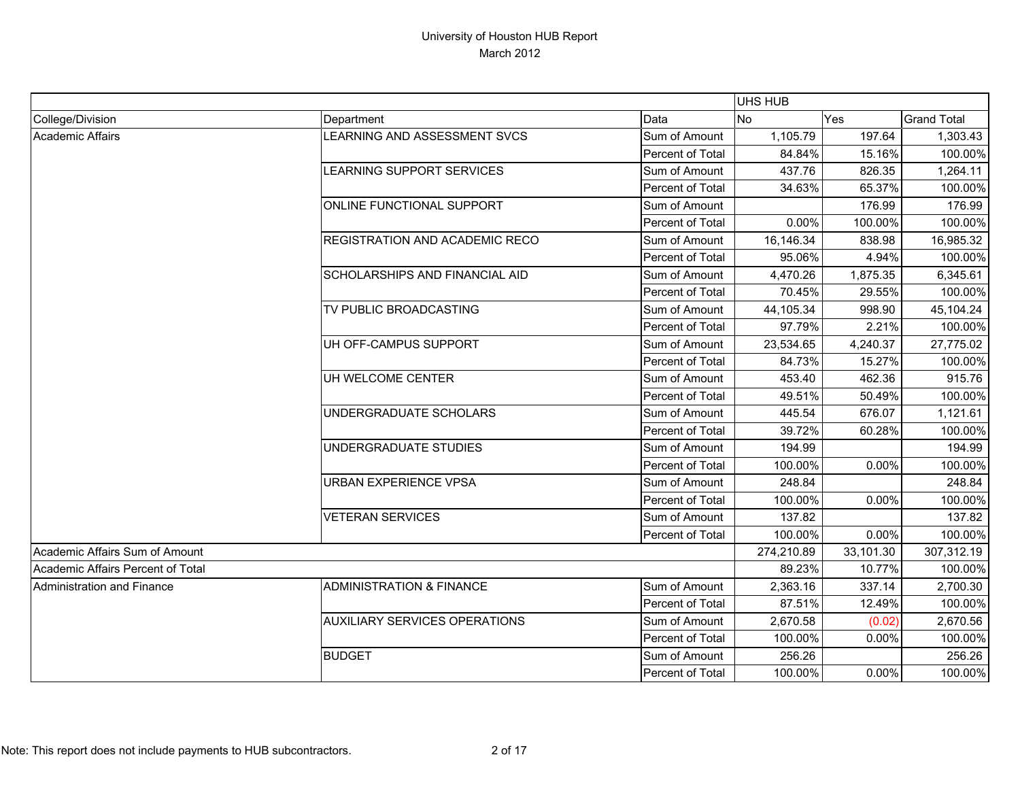|                                   |                                       |                         | UHS HUB    |           |                    |
|-----------------------------------|---------------------------------------|-------------------------|------------|-----------|--------------------|
| College/Division                  | Department                            | Data                    | No         | Yes       | <b>Grand Total</b> |
| Academic Affairs                  | LEARNING AND ASSESSMENT SVCS          | Sum of Amount           | 1,105.79   | 197.64    | 1,303.43           |
|                                   |                                       | Percent of Total        | 84.84%     | 15.16%    | 100.00%            |
|                                   | LEARNING SUPPORT SERVICES             | Sum of Amount           | 437.76     | 826.35    | 1,264.11           |
|                                   |                                       | Percent of Total        | 34.63%     | 65.37%    | 100.00%            |
|                                   | ONLINE FUNCTIONAL SUPPORT             | Sum of Amount           |            | 176.99    | 176.99             |
|                                   |                                       | Percent of Total        | 0.00%      | 100.00%   | 100.00%            |
|                                   | <b>REGISTRATION AND ACADEMIC RECO</b> | Sum of Amount           | 16,146.34  | 838.98    | 16,985.32          |
|                                   |                                       | Percent of Total        | 95.06%     | 4.94%     | 100.00%            |
|                                   | <b>SCHOLARSHIPS AND FINANCIAL AID</b> | Sum of Amount           | 4,470.26   | 1,875.35  | 6,345.61           |
|                                   |                                       | Percent of Total        | 70.45%     | 29.55%    | 100.00%            |
|                                   | TV PUBLIC BROADCASTING                | Sum of Amount           | 44,105.34  | 998.90    | 45,104.24          |
|                                   |                                       | Percent of Total        | 97.79%     | 2.21%     | 100.00%            |
|                                   | UH OFF-CAMPUS SUPPORT                 | Sum of Amount           | 23,534.65  | 4,240.37  | 27,775.02          |
|                                   |                                       | Percent of Total        | 84.73%     | 15.27%    | 100.00%            |
|                                   | UH WELCOME CENTER                     | Sum of Amount           | 453.40     | 462.36    | 915.76             |
|                                   |                                       | Percent of Total        | 49.51%     | 50.49%    | 100.00%            |
|                                   | UNDERGRADUATE SCHOLARS                | Sum of Amount           | 445.54     | 676.07    | 1,121.61           |
|                                   |                                       | Percent of Total        | 39.72%     | 60.28%    | 100.00%            |
|                                   | UNDERGRADUATE STUDIES                 | Sum of Amount           | 194.99     |           | 194.99             |
|                                   |                                       | Percent of Total        | 100.00%    | 0.00%     | 100.00%            |
|                                   | <b>URBAN EXPERIENCE VPSA</b>          | Sum of Amount           | 248.84     |           | 248.84             |
|                                   |                                       | Percent of Total        | 100.00%    | 0.00%     | 100.00%            |
|                                   | <b>VETERAN SERVICES</b>               | Sum of Amount           | 137.82     |           | 137.82             |
|                                   |                                       | Percent of Total        | 100.00%    | 0.00%     | 100.00%            |
| Academic Affairs Sum of Amount    |                                       |                         | 274,210.89 | 33,101.30 | 307,312.19         |
| Academic Affairs Percent of Total |                                       |                         | 89.23%     | 10.77%    | 100.00%            |
| Administration and Finance        | <b>ADMINISTRATION &amp; FINANCE</b>   | Sum of Amount           | 2,363.16   | 337.14    | 2,700.30           |
|                                   |                                       | Percent of Total        | 87.51%     | 12.49%    | 100.00%            |
|                                   | <b>AUXILIARY SERVICES OPERATIONS</b>  | Sum of Amount           | 2,670.58   | (0.02)    | 2,670.56           |
|                                   |                                       | Percent of Total        | 100.00%    | 0.00%     | 100.00%            |
|                                   | <b>BUDGET</b>                         | Sum of Amount           | 256.26     |           | 256.26             |
|                                   |                                       | <b>Percent of Total</b> | 100.00%    | $0.00\%$  | 100.00%            |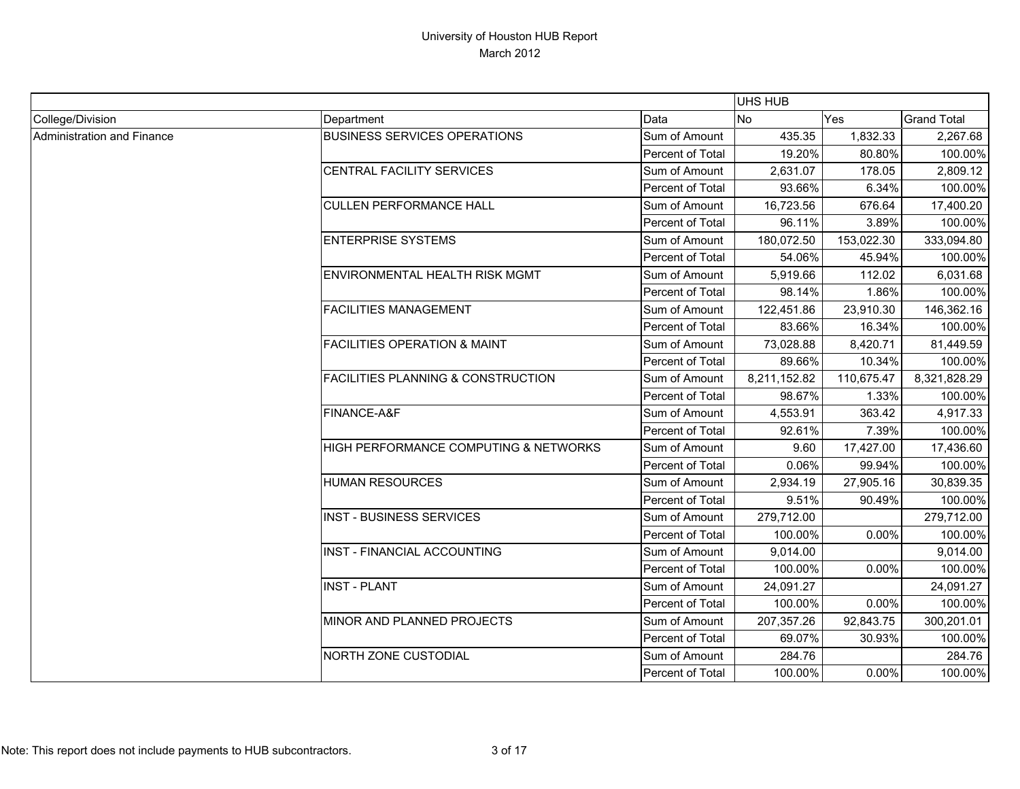|                            |                                               |                  | UHS HUB      |            |                    |
|----------------------------|-----------------------------------------------|------------------|--------------|------------|--------------------|
| College/Division           | Department                                    | Data             | No           | Yes        | <b>Grand Total</b> |
| Administration and Finance | <b>BUSINESS SERVICES OPERATIONS</b>           | Sum of Amount    | 435.35       | 1,832.33   | 2,267.68           |
|                            |                                               | Percent of Total | 19.20%       | 80.80%     | 100.00%            |
|                            | CENTRAL FACILITY SERVICES                     | Sum of Amount    | 2,631.07     | 178.05     | 2,809.12           |
|                            |                                               | Percent of Total | 93.66%       | 6.34%      | 100.00%            |
|                            | <b>CULLEN PERFORMANCE HALL</b>                | Sum of Amount    | 16,723.56    | 676.64     | 17,400.20          |
|                            |                                               | Percent of Total | 96.11%       | 3.89%      | 100.00%            |
|                            | <b>ENTERPRISE SYSTEMS</b>                     | Sum of Amount    | 180,072.50   | 153,022.30 | 333,094.80         |
|                            |                                               | Percent of Total | 54.06%       | 45.94%     | 100.00%            |
|                            | ENVIRONMENTAL HEALTH RISK MGMT                | Sum of Amount    | 5,919.66     | 112.02     | 6,031.68           |
|                            |                                               | Percent of Total | 98.14%       | 1.86%      | 100.00%            |
|                            | <b>FACILITIES MANAGEMENT</b>                  | Sum of Amount    | 122,451.86   | 23,910.30  | 146,362.16         |
|                            |                                               | Percent of Total | 83.66%       | 16.34%     | 100.00%            |
|                            | <b>FACILITIES OPERATION &amp; MAINT</b>       | Sum of Amount    | 73,028.88    | 8,420.71   | 81,449.59          |
|                            |                                               | Percent of Total | 89.66%       | 10.34%     | 100.00%            |
|                            | <b>FACILITIES PLANNING &amp; CONSTRUCTION</b> | Sum of Amount    | 8,211,152.82 | 110,675.47 | 8,321,828.29       |
|                            |                                               | Percent of Total | 98.67%       | 1.33%      | 100.00%            |
|                            | FINANCE-A&F                                   | Sum of Amount    | 4,553.91     | 363.42     | 4,917.33           |
|                            |                                               | Percent of Total | 92.61%       | 7.39%      | 100.00%            |
|                            | HIGH PERFORMANCE COMPUTING & NETWORKS         | Sum of Amount    | 9.60         | 17,427.00  | 17,436.60          |
|                            |                                               | Percent of Total | 0.06%        | 99.94%     | 100.00%            |
|                            | <b>HUMAN RESOURCES</b>                        | Sum of Amount    | 2,934.19     | 27,905.16  | 30,839.35          |
|                            |                                               | Percent of Total | 9.51%        | 90.49%     | 100.00%            |
|                            | <b>INST - BUSINESS SERVICES</b>               | Sum of Amount    | 279,712.00   |            | 279,712.00         |
|                            |                                               | Percent of Total | 100.00%      | 0.00%      | 100.00%            |
|                            | <b>INST - FINANCIAL ACCOUNTING</b>            | Sum of Amount    | 9,014.00     |            | 9,014.00           |
|                            |                                               | Percent of Total | 100.00%      | 0.00%      | 100.00%            |
|                            | <b>INST - PLANT</b>                           | Sum of Amount    | 24,091.27    |            | 24,091.27          |
|                            |                                               | Percent of Total | 100.00%      | 0.00%      | 100.00%            |
|                            | MINOR AND PLANNED PROJECTS                    | Sum of Amount    | 207,357.26   | 92,843.75  | 300,201.01         |
|                            |                                               | Percent of Total | 69.07%       | 30.93%     | 100.00%            |
|                            | NORTH ZONE CUSTODIAL                          | Sum of Amount    | 284.76       |            | 284.76             |
|                            |                                               | Percent of Total | 100.00%      | 0.00%      | 100.00%            |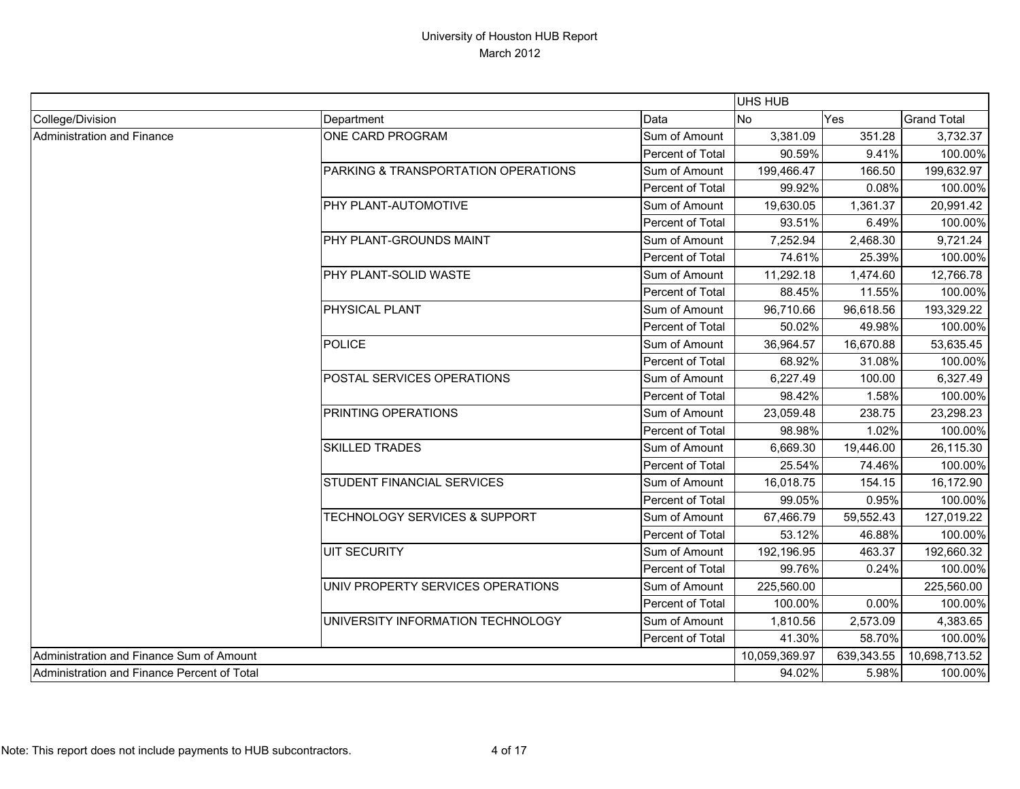|                                             |                                     | UHS HUB          |               |            |                    |
|---------------------------------------------|-------------------------------------|------------------|---------------|------------|--------------------|
| College/Division                            | Department                          | Data             | No            | Yes        | <b>Grand Total</b> |
| Administration and Finance                  | ONE CARD PROGRAM                    | Sum of Amount    | 3,381.09      | 351.28     | 3,732.37           |
|                                             |                                     | Percent of Total | 90.59%        | 9.41%      | 100.00%            |
|                                             | PARKING & TRANSPORTATION OPERATIONS | Sum of Amount    | 199,466.47    | 166.50     | 199,632.97         |
|                                             |                                     | Percent of Total | 99.92%        | 0.08%      | 100.00%            |
|                                             | PHY PLANT-AUTOMOTIVE                | Sum of Amount    | 19,630.05     | 1,361.37   | 20,991.42          |
|                                             |                                     | Percent of Total | 93.51%        | 6.49%      | 100.00%            |
|                                             | PHY PLANT-GROUNDS MAINT             | Sum of Amount    | 7,252.94      | 2,468.30   | 9,721.24           |
|                                             |                                     | Percent of Total | 74.61%        | 25.39%     | 100.00%            |
|                                             | PHY PLANT-SOLID WASTE               | Sum of Amount    | 11,292.18     | 1,474.60   | 12,766.78          |
|                                             |                                     | Percent of Total | 88.45%        | 11.55%     | 100.00%            |
|                                             | PHYSICAL PLANT                      | Sum of Amount    | 96,710.66     | 96,618.56  | 193,329.22         |
|                                             |                                     | Percent of Total | 50.02%        | 49.98%     | 100.00%            |
|                                             | <b>POLICE</b>                       | Sum of Amount    | 36,964.57     | 16,670.88  | 53,635.45          |
|                                             |                                     | Percent of Total | 68.92%        | 31.08%     | 100.00%            |
|                                             | POSTAL SERVICES OPERATIONS          | Sum of Amount    | 6,227.49      | 100.00     | 6,327.49           |
|                                             |                                     | Percent of Total | 98.42%        | 1.58%      | 100.00%            |
|                                             | PRINTING OPERATIONS                 | Sum of Amount    | 23,059.48     | 238.75     | 23,298.23          |
|                                             |                                     | Percent of Total | 98.98%        | 1.02%      | 100.00%            |
|                                             | <b>SKILLED TRADES</b>               | Sum of Amount    | 6,669.30      | 19,446.00  | 26,115.30          |
|                                             |                                     | Percent of Total | 25.54%        | 74.46%     | 100.00%            |
|                                             | STUDENT FINANCIAL SERVICES          | Sum of Amount    | 16,018.75     | 154.15     | 16,172.90          |
|                                             |                                     | Percent of Total | 99.05%        | 0.95%      | 100.00%            |
|                                             | TECHNOLOGY SERVICES & SUPPORT       | Sum of Amount    | 67,466.79     | 59,552.43  | 127,019.22         |
|                                             |                                     | Percent of Total | 53.12%        | 46.88%     | 100.00%            |
|                                             | <b>UIT SECURITY</b>                 | Sum of Amount    | 192,196.95    | 463.37     | 192,660.32         |
|                                             |                                     | Percent of Total | 99.76%        | 0.24%      | 100.00%            |
|                                             | UNIV PROPERTY SERVICES OPERATIONS   | Sum of Amount    | 225,560.00    |            | 225,560.00         |
|                                             |                                     | Percent of Total | 100.00%       | 0.00%      | 100.00%            |
|                                             | UNIVERSITY INFORMATION TECHNOLOGY   | Sum of Amount    | 1,810.56      | 2,573.09   | 4,383.65           |
|                                             |                                     | Percent of Total | 41.30%        | 58.70%     | 100.00%            |
| Administration and Finance Sum of Amount    |                                     |                  | 10,059,369.97 | 639,343.55 | 10,698,713.52      |
| Administration and Finance Percent of Total |                                     |                  | 94.02%        | 5.98%      | 100.00%            |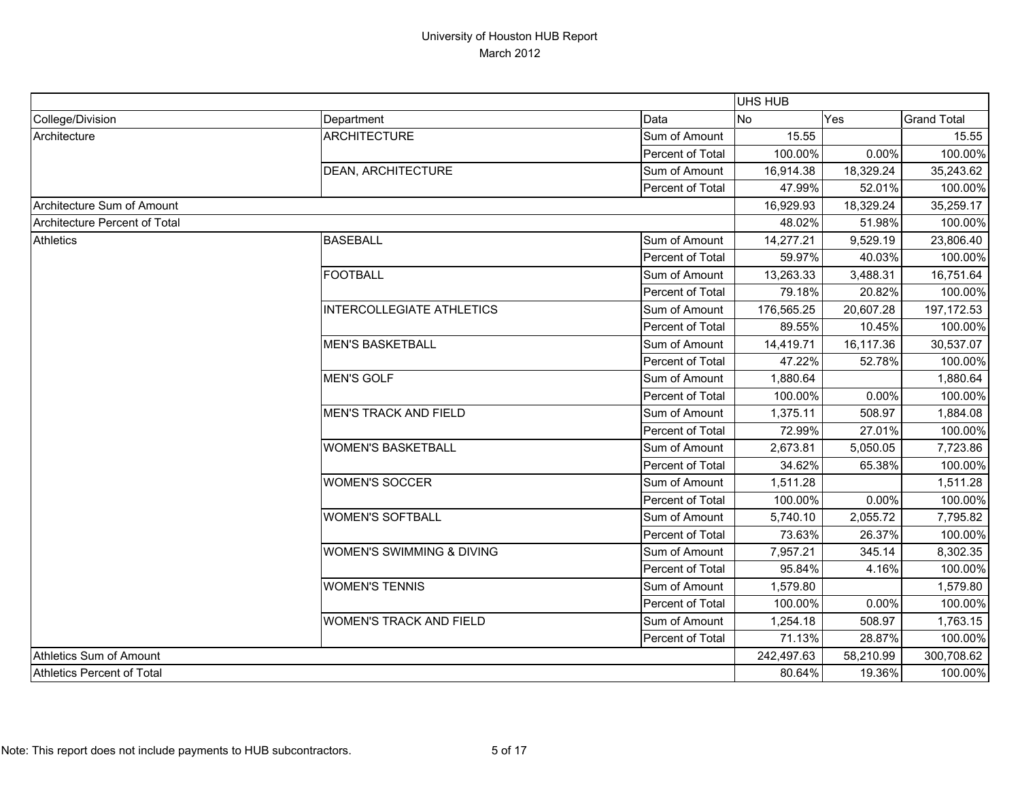|                               |                                  |                  | <b>UHS HUB</b> |           |                    |
|-------------------------------|----------------------------------|------------------|----------------|-----------|--------------------|
| College/Division              | Department                       | Data             | No             | Yes       | <b>Grand Total</b> |
| Architecture                  | <b>ARCHITECTURE</b>              | Sum of Amount    | 15.55          |           | 15.55              |
|                               |                                  | Percent of Total | 100.00%        | 0.00%     | 100.00%            |
|                               | <b>DEAN, ARCHITECTURE</b>        | Sum of Amount    | 16,914.38      | 18,329.24 | 35,243.62          |
|                               |                                  | Percent of Total | 47.99%         | 52.01%    | 100.00%            |
| Architecture Sum of Amount    |                                  |                  | 16,929.93      | 18,329.24 | 35,259.17          |
| Architecture Percent of Total |                                  |                  | 48.02%         | 51.98%    | 100.00%            |
| <b>Athletics</b>              | <b>BASEBALL</b>                  | Sum of Amount    | 14,277.21      | 9,529.19  | 23,806.40          |
|                               |                                  | Percent of Total | 59.97%         | 40.03%    | 100.00%            |
|                               | <b>FOOTBALL</b>                  | Sum of Amount    | 13,263.33      | 3,488.31  | 16,751.64          |
|                               |                                  | Percent of Total | 79.18%         | 20.82%    | 100.00%            |
|                               | <b>INTERCOLLEGIATE ATHLETICS</b> | Sum of Amount    | 176,565.25     | 20,607.28 | 197,172.53         |
|                               |                                  | Percent of Total | 89.55%         | 10.45%    | 100.00%            |
|                               | <b>MEN'S BASKETBALL</b>          | Sum of Amount    | 14,419.71      | 16,117.36 | 30,537.07          |
|                               |                                  | Percent of Total | 47.22%         | 52.78%    | 100.00%            |
|                               | <b>MEN'S GOLF</b>                | Sum of Amount    | 1,880.64       |           | 1,880.64           |
|                               |                                  | Percent of Total | 100.00%        | 0.00%     | 100.00%            |
|                               | <b>MEN'S TRACK AND FIELD</b>     | Sum of Amount    | 1,375.11       | 508.97    | 1,884.08           |
|                               |                                  | Percent of Total | 72.99%         | 27.01%    | 100.00%            |
|                               | <b>WOMEN'S BASKETBALL</b>        | Sum of Amount    | 2,673.81       | 5,050.05  | 7,723.86           |
|                               |                                  | Percent of Total | 34.62%         | 65.38%    | 100.00%            |
|                               | <b>WOMEN'S SOCCER</b>            | Sum of Amount    | 1,511.28       |           | 1,511.28           |
|                               |                                  | Percent of Total | 100.00%        | 0.00%     | 100.00%            |
|                               | <b>WOMEN'S SOFTBALL</b>          | Sum of Amount    | 5,740.10       | 2,055.72  | 7,795.82           |
|                               |                                  | Percent of Total | 73.63%         | 26.37%    | 100.00%            |
|                               | WOMEN'S SWIMMING & DIVING        | Sum of Amount    | 7,957.21       | 345.14    | 8,302.35           |
|                               |                                  | Percent of Total | 95.84%         | 4.16%     | 100.00%            |
|                               | <b>WOMEN'S TENNIS</b>            | Sum of Amount    | 1,579.80       |           | 1,579.80           |
|                               |                                  | Percent of Total | 100.00%        | 0.00%     | 100.00%            |
|                               | <b>WOMEN'S TRACK AND FIELD</b>   | Sum of Amount    | 1,254.18       | 508.97    | 1,763.15           |
|                               |                                  | Percent of Total | 71.13%         | 28.87%    | 100.00%            |
| Athletics Sum of Amount       |                                  |                  | 242,497.63     | 58,210.99 | 300,708.62         |
| Athletics Percent of Total    |                                  |                  | 80.64%         | 19.36%    | 100.00%            |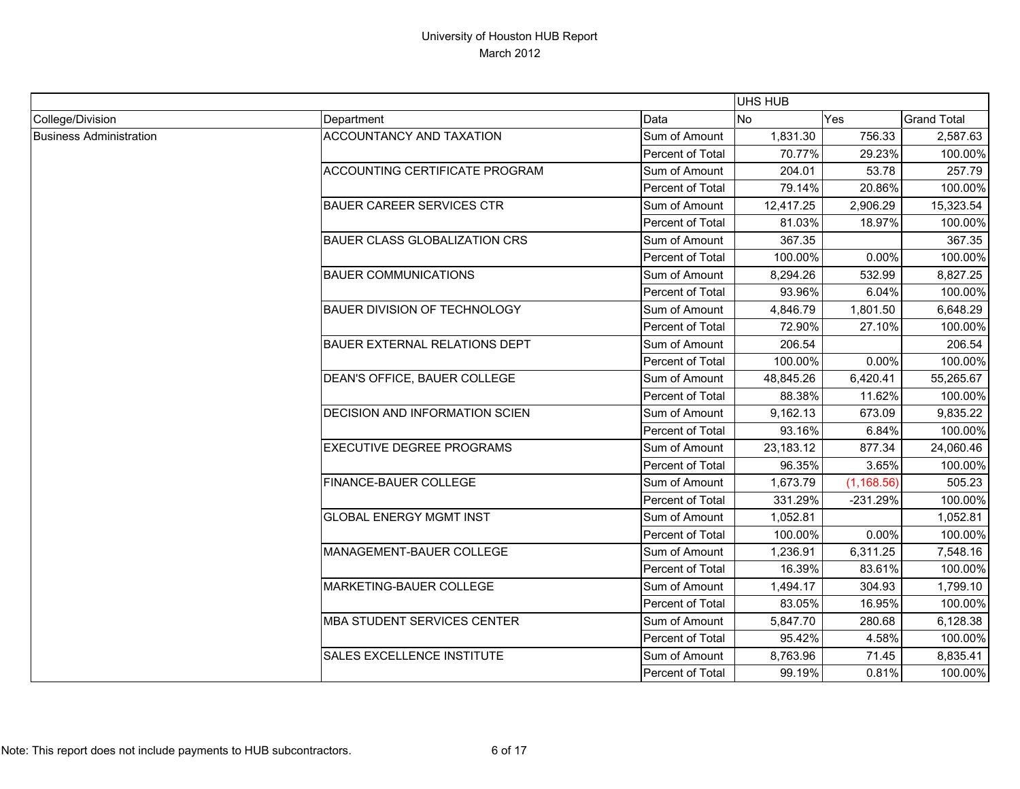|                                |                                       |                  | <b>UHS HUB</b> |             |                    |
|--------------------------------|---------------------------------------|------------------|----------------|-------------|--------------------|
| College/Division               | Department                            | Data             | N <sub>o</sub> | Yes         | <b>Grand Total</b> |
| <b>Business Administration</b> | <b>ACCOUNTANCY AND TAXATION</b>       | Sum of Amount    | 1,831.30       | 756.33      | 2,587.63           |
|                                |                                       | Percent of Total | 70.77%         | 29.23%      | 100.00%            |
|                                | <b>ACCOUNTING CERTIFICATE PROGRAM</b> | Sum of Amount    | 204.01         | 53.78       | 257.79             |
|                                |                                       | Percent of Total | 79.14%         | 20.86%      | 100.00%            |
|                                | <b>BAUER CAREER SERVICES CTR</b>      | Sum of Amount    | 12,417.25      | 2,906.29    | 15,323.54          |
|                                |                                       | Percent of Total | 81.03%         | 18.97%      | 100.00%            |
|                                | <b>BAUER CLASS GLOBALIZATION CRS</b>  | Sum of Amount    | 367.35         |             | 367.35             |
|                                |                                       | Percent of Total | 100.00%        | 0.00%       | 100.00%            |
|                                | <b>BAUER COMMUNICATIONS</b>           | Sum of Amount    | 8,294.26       | 532.99      | 8,827.25           |
|                                |                                       | Percent of Total | 93.96%         | 6.04%       | 100.00%            |
|                                | BAUER DIVISION OF TECHNOLOGY          | Sum of Amount    | 4,846.79       | 1,801.50    | 6,648.29           |
|                                |                                       | Percent of Total | 72.90%         | 27.10%      | 100.00%            |
|                                | <b>BAUER EXTERNAL RELATIONS DEPT</b>  | Sum of Amount    | 206.54         |             | 206.54             |
|                                |                                       | Percent of Total | 100.00%        | 0.00%       | 100.00%            |
|                                | DEAN'S OFFICE, BAUER COLLEGE          | Sum of Amount    | 48,845.26      | 6,420.41    | 55,265.67          |
|                                |                                       | Percent of Total | 88.38%         | 11.62%      | 100.00%            |
|                                | <b>DECISION AND INFORMATION SCIEN</b> | Sum of Amount    | 9,162.13       | 673.09      | 9,835.22           |
|                                |                                       | Percent of Total | 93.16%         | 6.84%       | 100.00%            |
|                                | <b>EXECUTIVE DEGREE PROGRAMS</b>      | Sum of Amount    | 23,183.12      | 877.34      | 24,060.46          |
|                                |                                       | Percent of Total | 96.35%         | 3.65%       | 100.00%            |
|                                | FINANCE-BAUER COLLEGE                 | Sum of Amount    | 1,673.79       | (1, 168.56) | 505.23             |
|                                |                                       | Percent of Total | 331.29%        | $-231.29%$  | 100.00%            |
|                                | <b>GLOBAL ENERGY MGMT INST</b>        | Sum of Amount    | 1,052.81       |             | 1,052.81           |
|                                |                                       | Percent of Total | 100.00%        | 0.00%       | 100.00%            |
|                                | MANAGEMENT-BAUER COLLEGE              | Sum of Amount    | 1,236.91       | 6,311.25    | 7,548.16           |
|                                |                                       | Percent of Total | 16.39%         | 83.61%      | 100.00%            |
|                                | MARKETING-BAUER COLLEGE               | Sum of Amount    | 1,494.17       | 304.93      | 1,799.10           |
|                                |                                       | Percent of Total | 83.05%         | 16.95%      | 100.00%            |
|                                | <b>MBA STUDENT SERVICES CENTER</b>    | Sum of Amount    | 5,847.70       | 280.68      | 6,128.38           |
|                                |                                       | Percent of Total | 95.42%         | 4.58%       | 100.00%            |
|                                | <b>SALES EXCELLENCE INSTITUTE</b>     | Sum of Amount    | 8,763.96       | 71.45       | 8,835.41           |
|                                |                                       | Percent of Total | 99.19%         | 0.81%       | 100.00%            |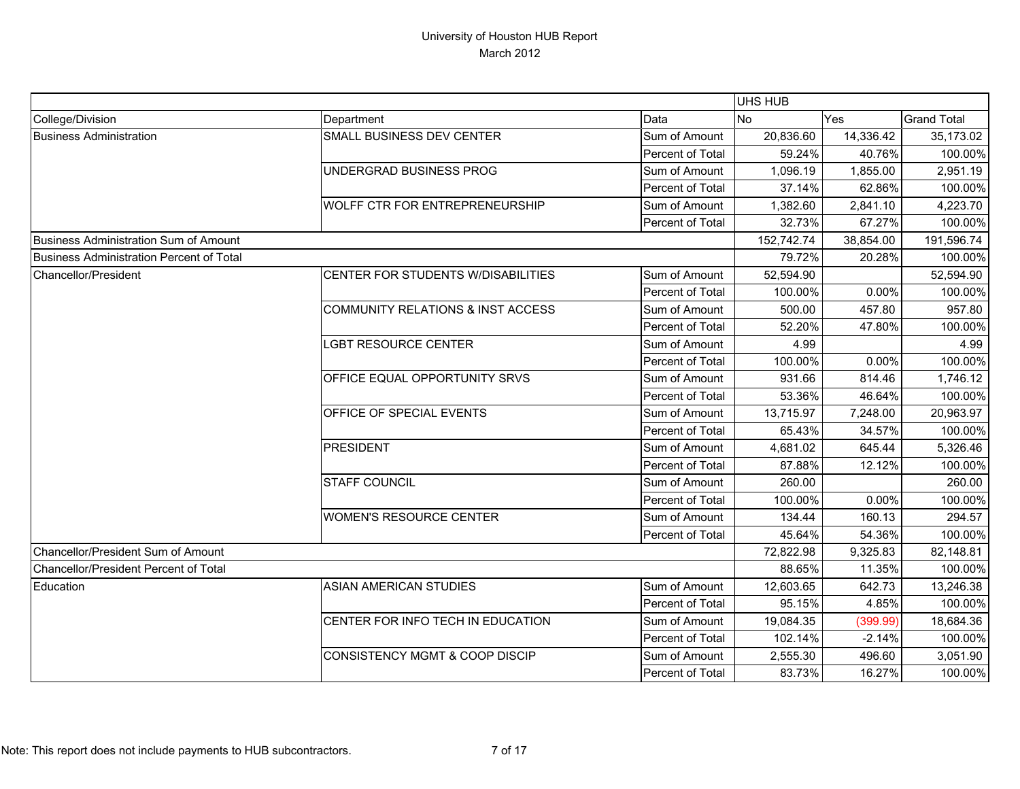|                                               |                                              |                         | <b>UHS HUB</b> |           |                    |
|-----------------------------------------------|----------------------------------------------|-------------------------|----------------|-----------|--------------------|
| College/Division                              | Department                                   | Data                    | <b>No</b>      | Yes       | <b>Grand Total</b> |
| <b>Business Administration</b>                | SMALL BUSINESS DEV CENTER                    | Sum of Amount           | 20,836.60      | 14,336.42 | 35,173.02          |
|                                               |                                              | Percent of Total        | 59.24%         | 40.76%    | 100.00%            |
|                                               | UNDERGRAD BUSINESS PROG                      | Sum of Amount           | 1,096.19       | 1,855.00  | 2,951.19           |
|                                               |                                              | Percent of Total        | 37.14%         | 62.86%    | 100.00%            |
|                                               | <b>WOLFF CTR FOR ENTREPRENEURSHIP</b>        | Sum of Amount           | 1,382.60       | 2,841.10  | 4,223.70           |
|                                               |                                              | Percent of Total        | 32.73%         | 67.27%    | 100.00%            |
| Business Administration Sum of Amount         |                                              |                         | 152,742.74     | 38,854.00 | 191,596.74         |
| Business Administration Percent of Total      |                                              |                         | 79.72%         | 20.28%    | 100.00%            |
| Chancellor/President                          | CENTER FOR STUDENTS W/DISABILITIES           | Sum of Amount           | 52,594.90      |           | 52,594.90          |
|                                               |                                              | Percent of Total        | 100.00%        | 0.00%     | 100.00%            |
|                                               | <b>COMMUNITY RELATIONS &amp; INST ACCESS</b> | Sum of Amount           | 500.00         | 457.80    | 957.80             |
|                                               |                                              | Percent of Total        | 52.20%         | 47.80%    | 100.00%            |
|                                               | <b>LGBT RESOURCE CENTER</b>                  | Sum of Amount           | 4.99           |           | 4.99               |
|                                               |                                              | Percent of Total        | 100.00%        | 0.00%     | 100.00%            |
|                                               | OFFICE EQUAL OPPORTUNITY SRVS                | Sum of Amount           | 931.66         | 814.46    | 1,746.12           |
|                                               |                                              | Percent of Total        | 53.36%         | 46.64%    | 100.00%            |
|                                               | OFFICE OF SPECIAL EVENTS                     | Sum of Amount           | 13,715.97      | 7,248.00  | 20,963.97          |
|                                               |                                              | Percent of Total        | 65.43%         | 34.57%    | 100.00%            |
|                                               | <b>PRESIDENT</b>                             | Sum of Amount           | 4,681.02       | 645.44    | 5,326.46           |
|                                               |                                              | Percent of Total        | 87.88%         | 12.12%    | 100.00%            |
|                                               | <b>STAFF COUNCIL</b>                         | Sum of Amount           | 260.00         |           | 260.00             |
|                                               |                                              | Percent of Total        | 100.00%        | 0.00%     | 100.00%            |
|                                               | <b>WOMEN'S RESOURCE CENTER</b>               | Sum of Amount           | 134.44         | 160.13    | 294.57             |
|                                               |                                              | <b>Percent of Total</b> | 45.64%         | 54.36%    | 100.00%            |
| Chancellor/President Sum of Amount            |                                              |                         | 72,822.98      | 9,325.83  | 82,148.81          |
| <b>IChancellor/President Percent of Total</b> |                                              |                         | 88.65%         | 11.35%    | 100.00%            |
| Education                                     | <b>ASIAN AMERICAN STUDIES</b>                | Sum of Amount           | 12,603.65      | 642.73    | 13,246.38          |
|                                               |                                              | Percent of Total        | 95.15%         | 4.85%     | 100.00%            |
|                                               | CENTER FOR INFO TECH IN EDUCATION            | Sum of Amount           | 19,084.35      | (399.99)  | 18,684.36          |
|                                               |                                              | Percent of Total        | 102.14%        | $-2.14%$  | 100.00%            |
|                                               | <b>CONSISTENCY MGMT &amp; COOP DISCIP</b>    | Sum of Amount           | 2,555.30       | 496.60    | 3,051.90           |
|                                               |                                              | Percent of Total        | 83.73%         | 16.27%    | 100.00%            |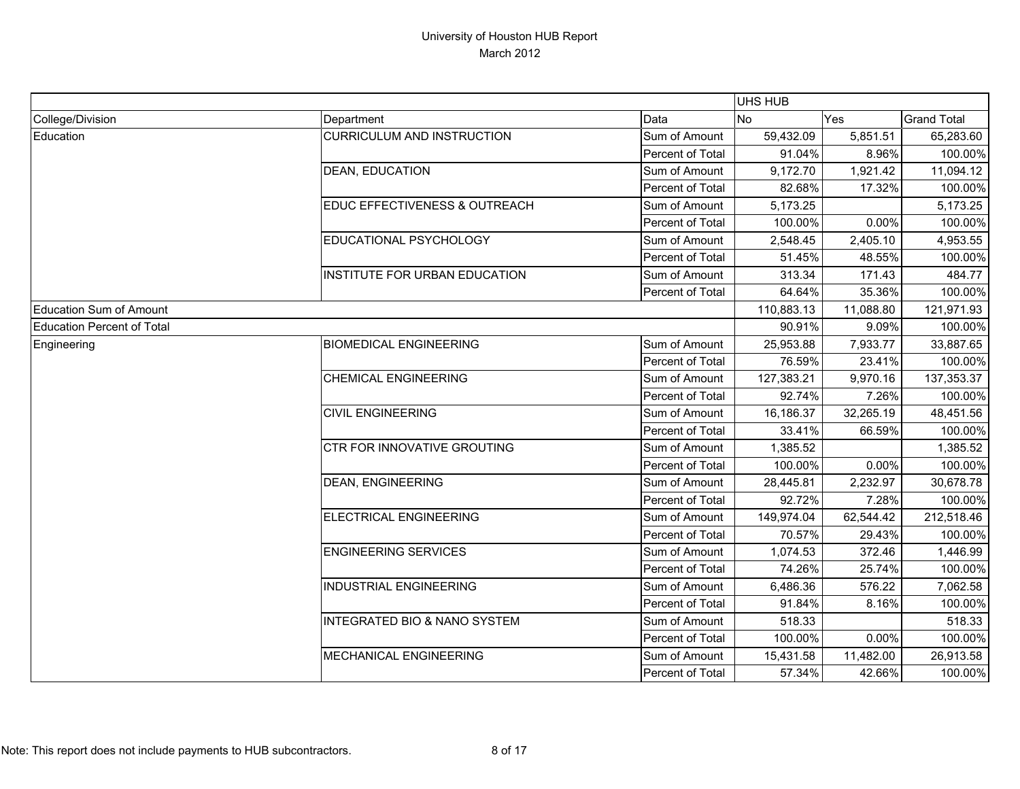|                                   |                                         |                  | <b>UHS HUB</b> |           |                    |
|-----------------------------------|-----------------------------------------|------------------|----------------|-----------|--------------------|
| College/Division                  | Department                              | Data             | <b>No</b>      | Yes       | <b>Grand Total</b> |
| Education                         | <b>CURRICULUM AND INSTRUCTION</b>       | Sum of Amount    | 59,432.09      | 5,851.51  | 65,283.60          |
|                                   |                                         | Percent of Total | 91.04%         | 8.96%     | 100.00%            |
|                                   | <b>DEAN, EDUCATION</b>                  | Sum of Amount    | 9,172.70       | 1,921.42  | 11,094.12          |
|                                   |                                         | Percent of Total | 82.68%         | 17.32%    | 100.00%            |
|                                   | EDUC EFFECTIVENESS & OUTREACH           | Sum of Amount    | 5,173.25       |           | 5,173.25           |
|                                   |                                         | Percent of Total | 100.00%        | 0.00%     | 100.00%            |
|                                   | EDUCATIONAL PSYCHOLOGY                  | Sum of Amount    | 2,548.45       | 2,405.10  | 4,953.55           |
|                                   |                                         | Percent of Total | 51.45%         | 48.55%    | 100.00%            |
|                                   | INSTITUTE FOR URBAN EDUCATION           | Sum of Amount    | 313.34         | 171.43    | 484.77             |
|                                   |                                         | Percent of Total | 64.64%         | 35.36%    | 100.00%            |
| <b>Education Sum of Amount</b>    |                                         |                  | 110,883.13     | 11,088.80 | 121,971.93         |
| <b>Education Percent of Total</b> |                                         |                  | 90.91%         | 9.09%     | 100.00%            |
| Engineering                       | <b>BIOMEDICAL ENGINEERING</b>           | Sum of Amount    | 25,953.88      | 7,933.77  | 33,887.65          |
|                                   |                                         | Percent of Total | 76.59%         | 23.41%    | 100.00%            |
|                                   | <b>CHEMICAL ENGINEERING</b>             | Sum of Amount    | 127,383.21     | 9,970.16  | 137,353.37         |
|                                   |                                         | Percent of Total | 92.74%         | 7.26%     | 100.00%            |
|                                   | <b>CIVIL ENGINEERING</b>                | Sum of Amount    | 16,186.37      | 32,265.19 | 48,451.56          |
|                                   |                                         | Percent of Total | 33.41%         | 66.59%    | 100.00%            |
|                                   | <b>CTR FOR INNOVATIVE GROUTING</b>      | Sum of Amount    | 1,385.52       |           | 1,385.52           |
|                                   |                                         | Percent of Total | 100.00%        | 0.00%     | 100.00%            |
|                                   | <b>DEAN, ENGINEERING</b>                | Sum of Amount    | 28,445.81      | 2,232.97  | 30,678.78          |
|                                   |                                         | Percent of Total | 92.72%         | 7.28%     | 100.00%            |
|                                   | <b>ELECTRICAL ENGINEERING</b>           | Sum of Amount    | 149,974.04     | 62,544.42 | 212,518.46         |
|                                   |                                         | Percent of Total | 70.57%         | 29.43%    | 100.00%            |
|                                   | <b>ENGINEERING SERVICES</b>             | Sum of Amount    | 1,074.53       | 372.46    | 1,446.99           |
|                                   |                                         | Percent of Total | 74.26%         | 25.74%    | 100.00%            |
|                                   | <b>INDUSTRIAL ENGINEERING</b>           | Sum of Amount    | 6,486.36       | 576.22    | 7,062.58           |
|                                   |                                         | Percent of Total | 91.84%         | 8.16%     | 100.00%            |
|                                   | <b>INTEGRATED BIO &amp; NANO SYSTEM</b> | Sum of Amount    | 518.33         |           | 518.33             |
|                                   |                                         | Percent of Total | 100.00%        | 0.00%     | 100.00%            |
|                                   | <b>MECHANICAL ENGINEERING</b>           | Sum of Amount    | 15,431.58      | 11,482.00 | 26,913.58          |
|                                   |                                         | Percent of Total | 57.34%         | 42.66%    | 100.00%            |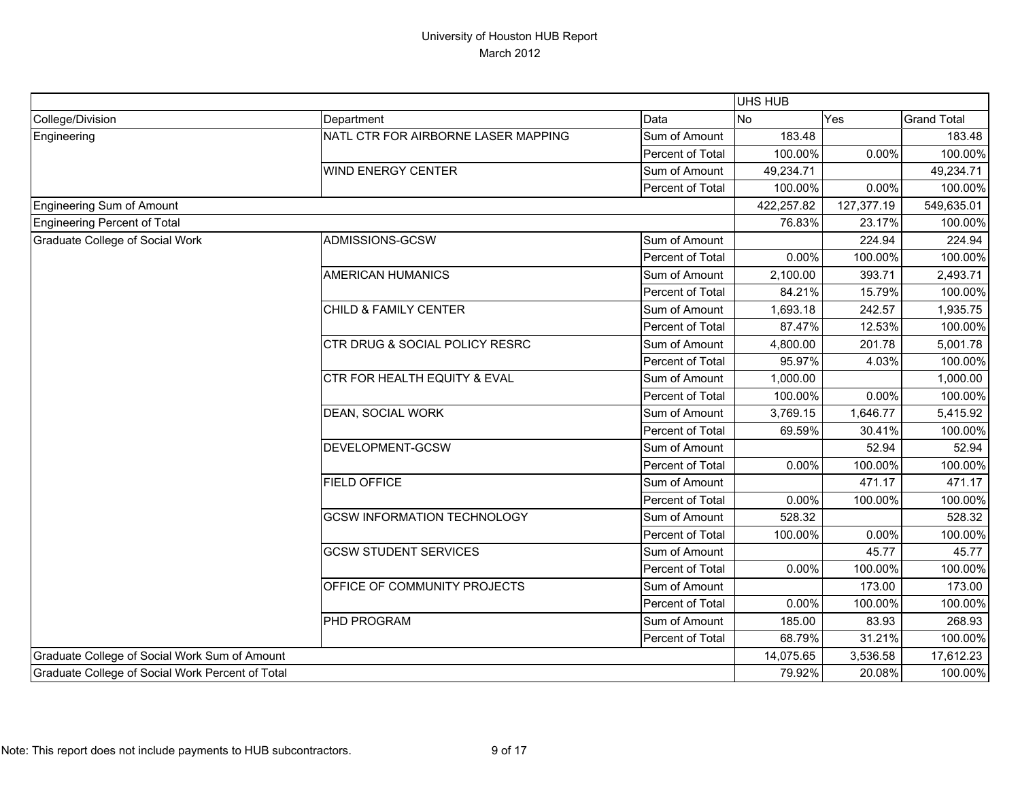|                                                  |                                           |                  | UHS HUB    |            |                    |
|--------------------------------------------------|-------------------------------------------|------------------|------------|------------|--------------------|
| College/Division                                 | Department                                | Data             | No         | Yes        | <b>Grand Total</b> |
| Engineering                                      | NATL CTR FOR AIRBORNE LASER MAPPING       | Sum of Amount    | 183.48     |            | 183.48             |
|                                                  |                                           | Percent of Total | 100.00%    | 0.00%      | 100.00%            |
|                                                  | <b>WIND ENERGY CENTER</b>                 | Sum of Amount    | 49,234.71  |            | 49,234.71          |
|                                                  |                                           | Percent of Total | 100.00%    | 0.00%      | 100.00%            |
| <b>Engineering Sum of Amount</b>                 |                                           |                  | 422,257.82 | 127,377.19 | 549,635.01         |
| Engineering Percent of Total                     |                                           |                  | 76.83%     | 23.17%     | 100.00%            |
| Graduate College of Social Work                  | ADMISSIONS-GCSW                           | Sum of Amount    |            | 224.94     | 224.94             |
|                                                  |                                           | Percent of Total | 0.00%      | 100.00%    | 100.00%            |
|                                                  | <b>AMERICAN HUMANICS</b>                  | Sum of Amount    | 2,100.00   | 393.71     | 2,493.71           |
|                                                  |                                           | Percent of Total | 84.21%     | 15.79%     | 100.00%            |
|                                                  | CHILD & FAMILY CENTER                     | Sum of Amount    | 1,693.18   | 242.57     | 1,935.75           |
|                                                  |                                           | Percent of Total | 87.47%     | 12.53%     | 100.00%            |
|                                                  | <b>CTR DRUG &amp; SOCIAL POLICY RESRC</b> | Sum of Amount    | 4,800.00   | 201.78     | 5,001.78           |
|                                                  |                                           | Percent of Total | 95.97%     | 4.03%      | 100.00%            |
|                                                  | CTR FOR HEALTH EQUITY & EVAL              | Sum of Amount    | 1,000.00   |            | 1,000.00           |
|                                                  |                                           | Percent of Total | 100.00%    | 0.00%      | 100.00%            |
|                                                  | <b>DEAN, SOCIAL WORK</b>                  | Sum of Amount    | 3,769.15   | 1,646.77   | 5,415.92           |
|                                                  |                                           | Percent of Total | 69.59%     | 30.41%     | 100.00%            |
|                                                  | DEVELOPMENT-GCSW                          | Sum of Amount    |            | 52.94      | 52.94              |
|                                                  |                                           | Percent of Total | 0.00%      | 100.00%    | 100.00%            |
|                                                  | <b>FIELD OFFICE</b>                       | Sum of Amount    |            | 471.17     | 471.17             |
|                                                  |                                           | Percent of Total | 0.00%      | 100.00%    | 100.00%            |
|                                                  | <b>GCSW INFORMATION TECHNOLOGY</b>        | Sum of Amount    | 528.32     |            | 528.32             |
|                                                  |                                           | Percent of Total | 100.00%    | 0.00%      | 100.00%            |
|                                                  | <b>GCSW STUDENT SERVICES</b>              | Sum of Amount    |            | 45.77      | 45.77              |
|                                                  |                                           | Percent of Total | $0.00\%$   | 100.00%    | 100.00%            |
|                                                  | OFFICE OF COMMUNITY PROJECTS              | Sum of Amount    |            | 173.00     | 173.00             |
|                                                  |                                           | Percent of Total | 0.00%      | 100.00%    | 100.00%            |
|                                                  | <b>PHD PROGRAM</b>                        | Sum of Amount    | 185.00     | 83.93      | 268.93             |
|                                                  |                                           | Percent of Total | 68.79%     | 31.21%     | 100.00%            |
| Graduate College of Social Work Sum of Amount    |                                           |                  | 14,075.65  | 3,536.58   | 17,612.23          |
| Graduate College of Social Work Percent of Total |                                           |                  | 79.92%     | 20.08%     | 100.00%            |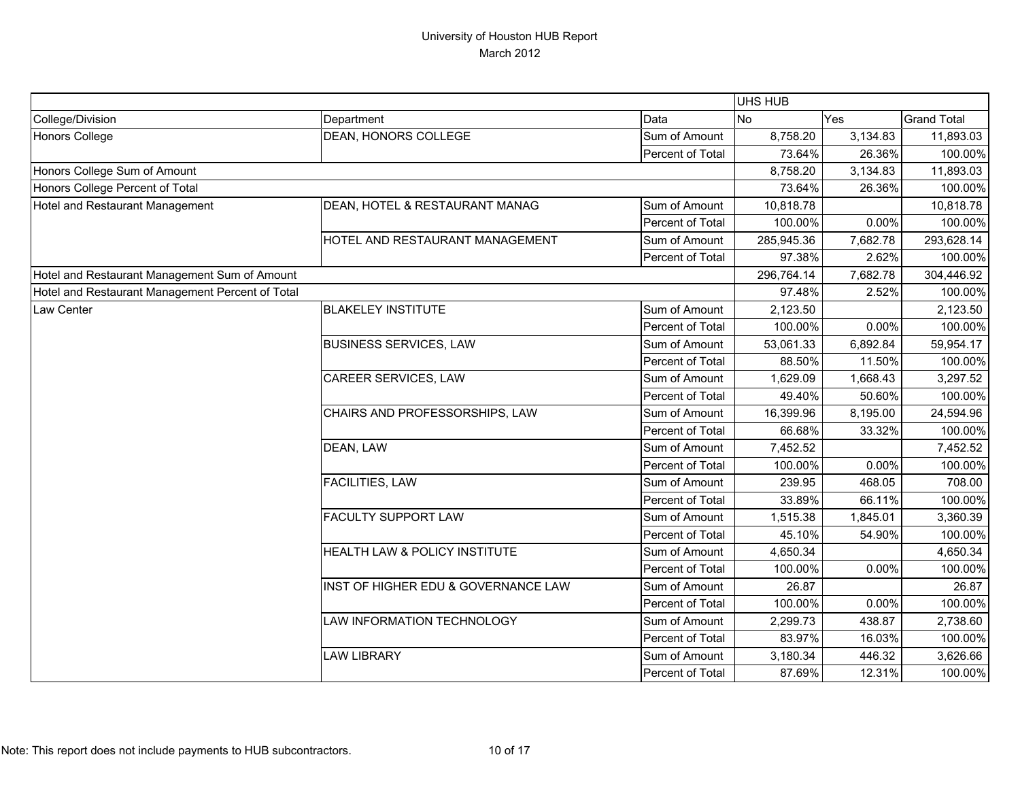|                                                  |                                     |                  | UHS HUB    |          |                    |
|--------------------------------------------------|-------------------------------------|------------------|------------|----------|--------------------|
| College/Division                                 | Department                          | Data             | <b>No</b>  | Yes      | <b>Grand Total</b> |
| <b>Honors College</b>                            | <b>DEAN, HONORS COLLEGE</b>         | Sum of Amount    | 8,758.20   | 3,134.83 | 11,893.03          |
|                                                  |                                     | Percent of Total | 73.64%     | 26.36%   | 100.00%            |
| Honors College Sum of Amount                     |                                     |                  | 8,758.20   | 3,134.83 | 11,893.03          |
| Honors College Percent of Total                  |                                     |                  | 73.64%     | 26.36%   | 100.00%            |
| Hotel and Restaurant Management                  | DEAN, HOTEL & RESTAURANT MANAG      | Sum of Amount    | 10,818.78  |          | 10,818.78          |
|                                                  |                                     | Percent of Total | 100.00%    | 0.00%    | 100.00%            |
|                                                  | HOTEL AND RESTAURANT MANAGEMENT     | Sum of Amount    | 285,945.36 | 7,682.78 | 293,628.14         |
|                                                  |                                     | Percent of Total | 97.38%     | 2.62%    | 100.00%            |
| Hotel and Restaurant Management Sum of Amount    |                                     |                  | 296,764.14 | 7,682.78 | 304,446.92         |
| Hotel and Restaurant Management Percent of Total |                                     |                  | 97.48%     | 2.52%    | 100.00%            |
| Law Center                                       | <b>BLAKELEY INSTITUTE</b>           | Sum of Amount    | 2,123.50   |          | 2,123.50           |
|                                                  |                                     | Percent of Total | 100.00%    | 0.00%    | 100.00%            |
|                                                  | <b>BUSINESS SERVICES, LAW</b>       | Sum of Amount    | 53,061.33  | 6,892.84 | 59,954.17          |
|                                                  |                                     | Percent of Total | 88.50%     | 11.50%   | 100.00%            |
|                                                  | <b>CAREER SERVICES, LAW</b>         | Sum of Amount    | 1,629.09   | 1,668.43 | 3,297.52           |
|                                                  |                                     | Percent of Total | 49.40%     | 50.60%   | 100.00%            |
|                                                  | CHAIRS AND PROFESSORSHIPS, LAW      | Sum of Amount    | 16,399.96  | 8,195.00 | 24,594.96          |
|                                                  |                                     | Percent of Total | 66.68%     | 33.32%   | 100.00%            |
|                                                  | DEAN, LAW                           | Sum of Amount    | 7,452.52   |          | 7,452.52           |
|                                                  |                                     | Percent of Total | 100.00%    | 0.00%    | 100.00%            |
|                                                  | FACILITIES, LAW                     | Sum of Amount    | 239.95     | 468.05   | 708.00             |
|                                                  |                                     | Percent of Total | 33.89%     | 66.11%   | 100.00%            |
|                                                  | <b>FACULTY SUPPORT LAW</b>          | Sum of Amount    | 1,515.38   | 1,845.01 | 3,360.39           |
|                                                  |                                     | Percent of Total | 45.10%     | 54.90%   | 100.00%            |
|                                                  | HEALTH LAW & POLICY INSTITUTE       | Sum of Amount    | 4,650.34   |          | 4,650.34           |
|                                                  |                                     | Percent of Total | 100.00%    | 0.00%    | 100.00%            |
|                                                  | INST OF HIGHER EDU & GOVERNANCE LAW | Sum of Amount    | 26.87      |          | 26.87              |
|                                                  |                                     | Percent of Total | 100.00%    | 0.00%    | 100.00%            |
|                                                  | LAW INFORMATION TECHNOLOGY          | Sum of Amount    | 2,299.73   | 438.87   | 2,738.60           |
|                                                  |                                     | Percent of Total | 83.97%     | 16.03%   | 100.00%            |
|                                                  | <b>LAW LIBRARY</b>                  | Sum of Amount    | 3,180.34   | 446.32   | 3,626.66           |
|                                                  |                                     | Percent of Total | 87.69%     | 12.31%   | 100.00%            |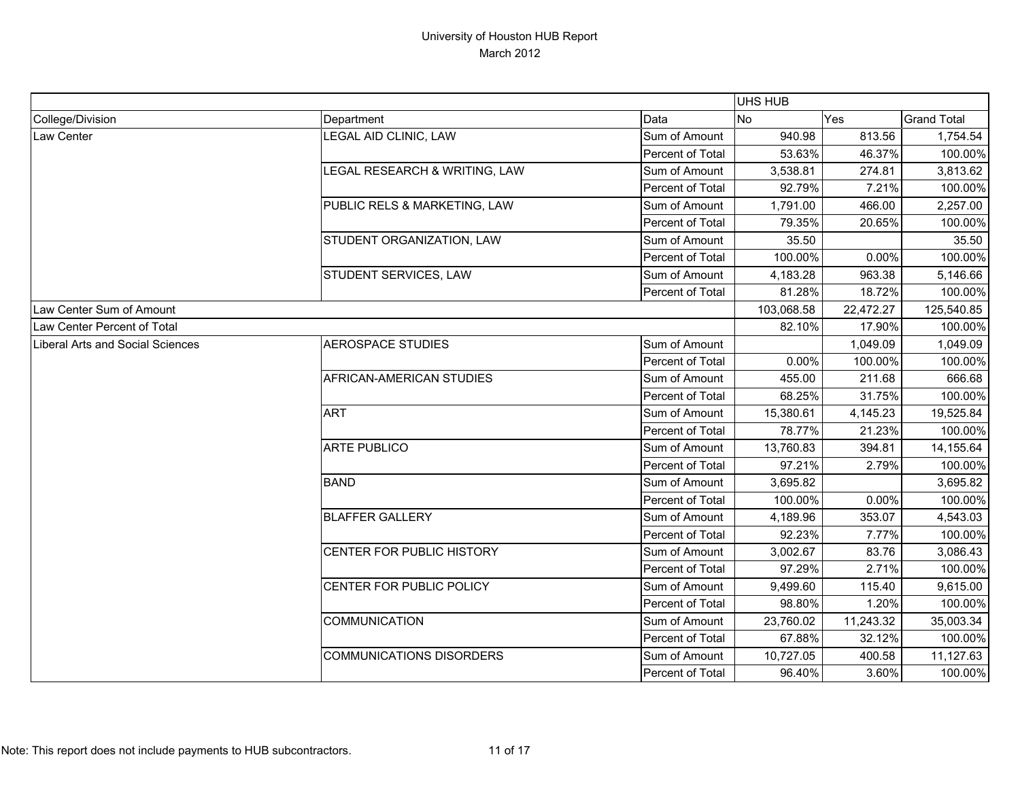|                                  |                                 |                  | <b>UHS HUB</b> |           |                    |
|----------------------------------|---------------------------------|------------------|----------------|-----------|--------------------|
| College/Division                 | Department                      | Data             | No             | Yes       | <b>Grand Total</b> |
| Law Center                       | LEGAL AID CLINIC, LAW           | Sum of Amount    | 940.98         | 813.56    | 1,754.54           |
|                                  |                                 | Percent of Total | 53.63%         | 46.37%    | 100.00%            |
|                                  | LEGAL RESEARCH & WRITING, LAW   | Sum of Amount    | 3,538.81       | 274.81    | 3,813.62           |
|                                  |                                 | Percent of Total | 92.79%         | 7.21%     | 100.00%            |
|                                  | PUBLIC RELS & MARKETING, LAW    | Sum of Amount    | 1,791.00       | 466.00    | 2,257.00           |
|                                  |                                 | Percent of Total | 79.35%         | 20.65%    | 100.00%            |
|                                  | STUDENT ORGANIZATION, LAW       | Sum of Amount    | 35.50          |           | 35.50              |
|                                  |                                 | Percent of Total | 100.00%        | 0.00%     | 100.00%            |
|                                  | STUDENT SERVICES, LAW           | Sum of Amount    | 4,183.28       | 963.38    | 5,146.66           |
|                                  |                                 | Percent of Total | 81.28%         | 18.72%    | 100.00%            |
| Law Center Sum of Amount         |                                 |                  | 103,068.58     | 22,472.27 | 125,540.85         |
| Law Center Percent of Total      |                                 |                  | 82.10%         | 17.90%    | 100.00%            |
| Liberal Arts and Social Sciences | <b>AEROSPACE STUDIES</b>        | Sum of Amount    |                | 1,049.09  | 1,049.09           |
|                                  |                                 | Percent of Total | 0.00%          | 100.00%   | 100.00%            |
|                                  | AFRICAN-AMERICAN STUDIES        | Sum of Amount    | 455.00         | 211.68    | 666.68             |
|                                  |                                 | Percent of Total | 68.25%         | 31.75%    | 100.00%            |
|                                  | <b>ART</b>                      | Sum of Amount    | 15,380.61      | 4,145.23  | 19,525.84          |
|                                  |                                 | Percent of Total | 78.77%         | 21.23%    | 100.00%            |
|                                  | <b>ARTE PUBLICO</b>             | Sum of Amount    | 13,760.83      | 394.81    | 14,155.64          |
|                                  |                                 | Percent of Total | 97.21%         | 2.79%     | 100.00%            |
|                                  | <b>BAND</b>                     | Sum of Amount    | 3,695.82       |           | 3,695.82           |
|                                  |                                 | Percent of Total | 100.00%        | 0.00%     | 100.00%            |
|                                  | <b>BLAFFER GALLERY</b>          | Sum of Amount    | 4,189.96       | 353.07    | 4,543.03           |
|                                  |                                 | Percent of Total | 92.23%         | 7.77%     | 100.00%            |
|                                  | CENTER FOR PUBLIC HISTORY       | Sum of Amount    | 3,002.67       | 83.76     | 3,086.43           |
|                                  |                                 | Percent of Total | 97.29%         | 2.71%     | 100.00%            |
|                                  | CENTER FOR PUBLIC POLICY        | Sum of Amount    | 9,499.60       | 115.40    | 9,615.00           |
|                                  |                                 | Percent of Total | 98.80%         | 1.20%     | 100.00%            |
|                                  | <b>COMMUNICATION</b>            | Sum of Amount    | 23,760.02      | 11,243.32 | 35,003.34          |
|                                  |                                 | Percent of Total | 67.88%         | 32.12%    | 100.00%            |
|                                  | <b>COMMUNICATIONS DISORDERS</b> | Sum of Amount    | 10,727.05      | 400.58    | 11,127.63          |
|                                  |                                 | Percent of Total | 96.40%         | 3.60%     | 100.00%            |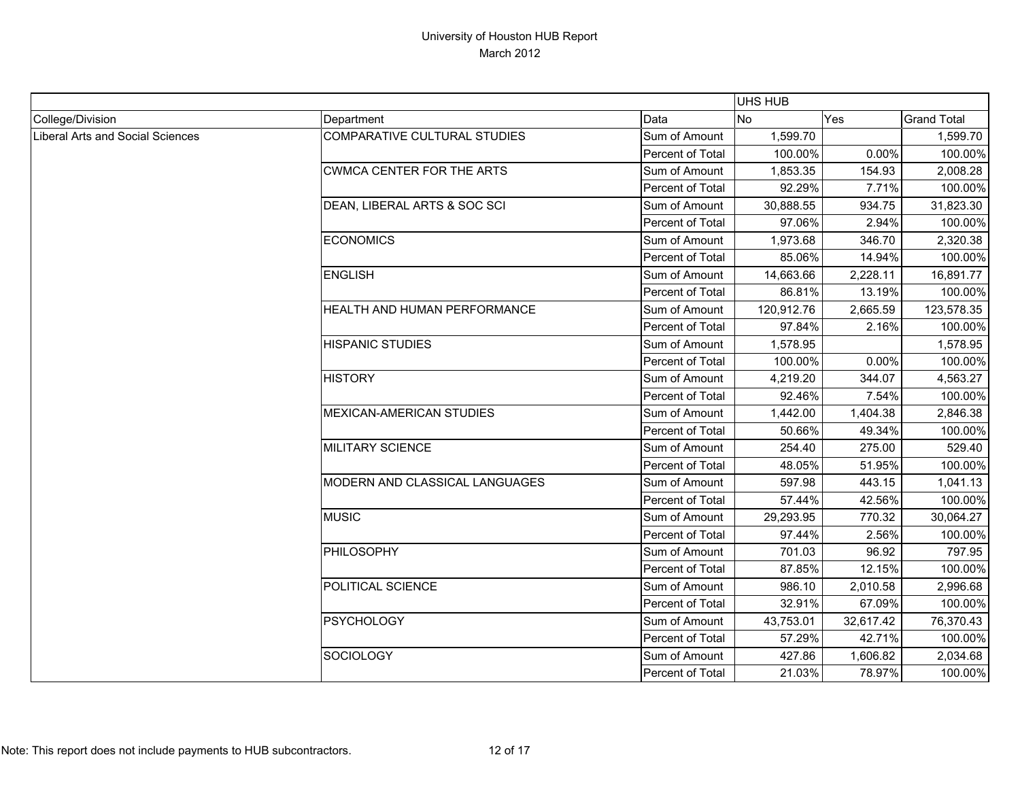|                                  |                                     |                  | <b>UHS HUB</b> |           |                    |
|----------------------------------|-------------------------------------|------------------|----------------|-----------|--------------------|
| College/Division                 | Department                          | Data             | <b>No</b>      | Yes       | <b>Grand Total</b> |
| Liberal Arts and Social Sciences | <b>COMPARATIVE CULTURAL STUDIES</b> | Sum of Amount    | 1,599.70       |           | 1,599.70           |
|                                  |                                     | Percent of Total | 100.00%        | 0.00%     | 100.00%            |
|                                  | <b>CWMCA CENTER FOR THE ARTS</b>    | Sum of Amount    | 1,853.35       | 154.93    | 2,008.28           |
|                                  |                                     | Percent of Total | 92.29%         | 7.71%     | 100.00%            |
|                                  | DEAN, LIBERAL ARTS & SOC SCI        | Sum of Amount    | 30,888.55      | 934.75    | 31,823.30          |
|                                  |                                     | Percent of Total | 97.06%         | 2.94%     | 100.00%            |
|                                  | <b>ECONOMICS</b>                    | Sum of Amount    | 1,973.68       | 346.70    | 2,320.38           |
|                                  |                                     | Percent of Total | 85.06%         | 14.94%    | 100.00%            |
|                                  | <b>ENGLISH</b>                      | Sum of Amount    | 14,663.66      | 2,228.11  | 16,891.77          |
|                                  |                                     | Percent of Total | 86.81%         | 13.19%    | 100.00%            |
|                                  | HEALTH AND HUMAN PERFORMANCE        | Sum of Amount    | 120,912.76     | 2,665.59  | 123,578.35         |
|                                  |                                     | Percent of Total | 97.84%         | 2.16%     | 100.00%            |
|                                  | <b>HISPANIC STUDIES</b>             | Sum of Amount    | 1,578.95       |           | 1,578.95           |
|                                  |                                     | Percent of Total | 100.00%        | 0.00%     | 100.00%            |
|                                  | <b>HISTORY</b>                      | Sum of Amount    | 4,219.20       | 344.07    | 4,563.27           |
|                                  |                                     | Percent of Total | 92.46%         | 7.54%     | 100.00%            |
|                                  | MEXICAN-AMERICAN STUDIES            | Sum of Amount    | 1,442.00       | 1,404.38  | 2,846.38           |
|                                  |                                     | Percent of Total | 50.66%         | 49.34%    | 100.00%            |
|                                  | <b>MILITARY SCIENCE</b>             | Sum of Amount    | 254.40         | 275.00    | 529.40             |
|                                  |                                     | Percent of Total | 48.05%         | 51.95%    | 100.00%            |
|                                  | MODERN AND CLASSICAL LANGUAGES      | Sum of Amount    | 597.98         | 443.15    | 1,041.13           |
|                                  |                                     | Percent of Total | 57.44%         | 42.56%    | 100.00%            |
|                                  | <b>MUSIC</b>                        | Sum of Amount    | 29,293.95      | 770.32    | 30,064.27          |
|                                  |                                     | Percent of Total | 97.44%         | 2.56%     | 100.00%            |
|                                  | PHILOSOPHY                          | Sum of Amount    | 701.03         | 96.92     | 797.95             |
|                                  |                                     | Percent of Total | 87.85%         | 12.15%    | 100.00%            |
|                                  | POLITICAL SCIENCE                   | Sum of Amount    | 986.10         | 2,010.58  | 2,996.68           |
|                                  |                                     | Percent of Total | 32.91%         | 67.09%    | 100.00%            |
|                                  | <b>PSYCHOLOGY</b>                   | Sum of Amount    | 43,753.01      | 32,617.42 | 76,370.43          |
|                                  |                                     | Percent of Total | 57.29%         | 42.71%    | 100.00%            |
|                                  | <b>SOCIOLOGY</b>                    | Sum of Amount    | 427.86         | 1,606.82  | 2,034.68           |
|                                  |                                     | Percent of Total | 21.03%         | 78.97%    | 100.00%            |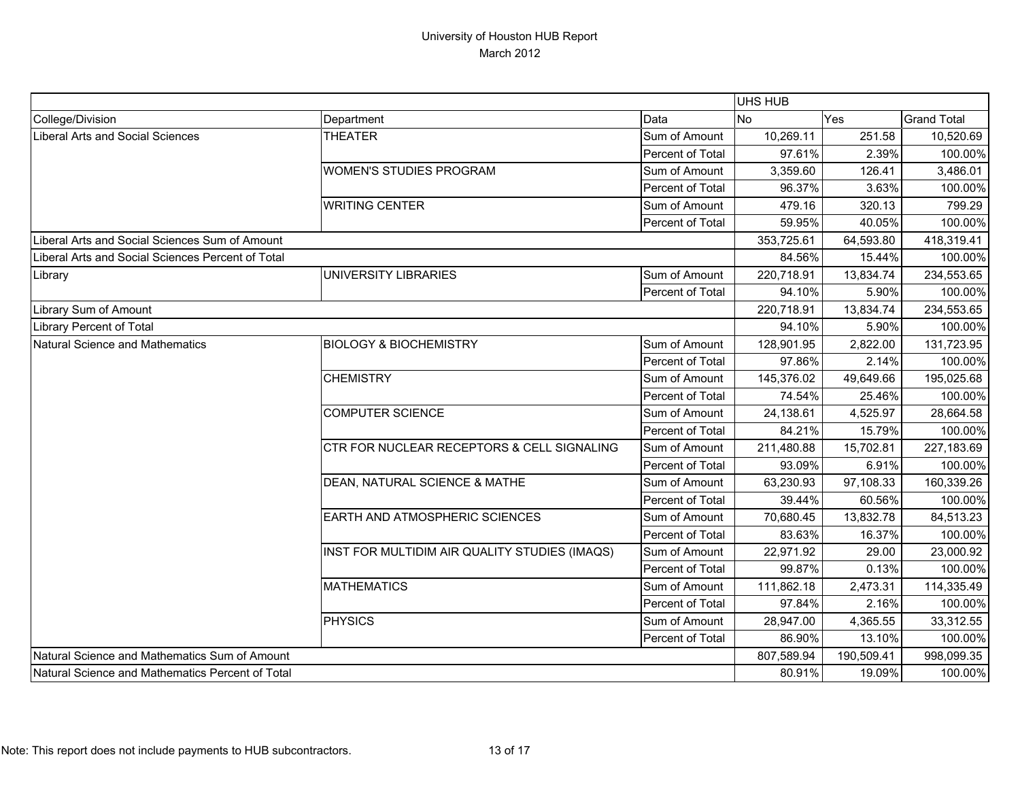|                                                   |                                               |                  | UHS HUB    |            |                    |
|---------------------------------------------------|-----------------------------------------------|------------------|------------|------------|--------------------|
| College/Division                                  | Department                                    | Data             | <b>No</b>  | Yes        | <b>Grand Total</b> |
| Liberal Arts and Social Sciences                  | <b>THEATER</b>                                | Sum of Amount    | 10,269.11  | 251.58     | 10,520.69          |
|                                                   |                                               | Percent of Total | 97.61%     | 2.39%      | 100.00%            |
|                                                   | <b>WOMEN'S STUDIES PROGRAM</b>                | Sum of Amount    | 3,359.60   | 126.41     | 3,486.01           |
|                                                   |                                               | Percent of Total | 96.37%     | 3.63%      | 100.00%            |
|                                                   | <b>WRITING CENTER</b>                         | Sum of Amount    | 479.16     | 320.13     | 799.29             |
|                                                   |                                               | Percent of Total | 59.95%     | 40.05%     | 100.00%            |
| Liberal Arts and Social Sciences Sum of Amount    |                                               |                  | 353,725.61 | 64,593.80  | 418,319.41         |
| Liberal Arts and Social Sciences Percent of Total |                                               |                  | 84.56%     | 15.44%     | 100.00%            |
| Library                                           | UNIVERSITY LIBRARIES                          | Sum of Amount    | 220,718.91 | 13,834.74  | 234,553.65         |
|                                                   |                                               | Percent of Total | 94.10%     | 5.90%      | 100.00%            |
| Library Sum of Amount                             |                                               |                  | 220,718.91 | 13,834.74  | 234,553.65         |
| Library Percent of Total                          |                                               |                  | 94.10%     | 5.90%      | 100.00%            |
| Natural Science and Mathematics                   | <b>BIOLOGY &amp; BIOCHEMISTRY</b>             | Sum of Amount    | 128,901.95 | 2,822.00   | 131,723.95         |
|                                                   |                                               | Percent of Total | 97.86%     | 2.14%      | 100.00%            |
|                                                   | <b>CHEMISTRY</b>                              | Sum of Amount    | 145,376.02 | 49,649.66  | 195,025.68         |
|                                                   |                                               | Percent of Total | 74.54%     | 25.46%     | 100.00%            |
|                                                   | <b>COMPUTER SCIENCE</b>                       | Sum of Amount    | 24,138.61  | 4,525.97   | 28,664.58          |
|                                                   |                                               | Percent of Total | 84.21%     | 15.79%     | 100.00%            |
|                                                   | CTR FOR NUCLEAR RECEPTORS & CELL SIGNALING    | Sum of Amount    | 211,480.88 | 15,702.81  | 227,183.69         |
|                                                   |                                               | Percent of Total | 93.09%     | 6.91%      | 100.00%            |
|                                                   | DEAN, NATURAL SCIENCE & MATHE                 | Sum of Amount    | 63,230.93  | 97,108.33  | 160,339.26         |
|                                                   |                                               | Percent of Total | 39.44%     | 60.56%     | 100.00%            |
|                                                   | EARTH AND ATMOSPHERIC SCIENCES                | Sum of Amount    | 70,680.45  | 13,832.78  | 84,513.23          |
|                                                   |                                               | Percent of Total | 83.63%     | 16.37%     | 100.00%            |
|                                                   | INST FOR MULTIDIM AIR QUALITY STUDIES (IMAQS) | Sum of Amount    | 22,971.92  | 29.00      | 23,000.92          |
|                                                   |                                               | Percent of Total | 99.87%     | 0.13%      | 100.00%            |
|                                                   | <b>MATHEMATICS</b>                            | Sum of Amount    | 111,862.18 | 2,473.31   | 114,335.49         |
|                                                   |                                               | Percent of Total | 97.84%     | 2.16%      | 100.00%            |
|                                                   | <b>PHYSICS</b>                                | Sum of Amount    | 28,947.00  | 4,365.55   | 33,312.55          |
|                                                   |                                               | Percent of Total | 86.90%     | 13.10%     | 100.00%            |
| Natural Science and Mathematics Sum of Amount     |                                               |                  | 807,589.94 | 190,509.41 | 998,099.35         |
| Natural Science and Mathematics Percent of Total  |                                               |                  | 80.91%     | 19.09%     | 100.00%            |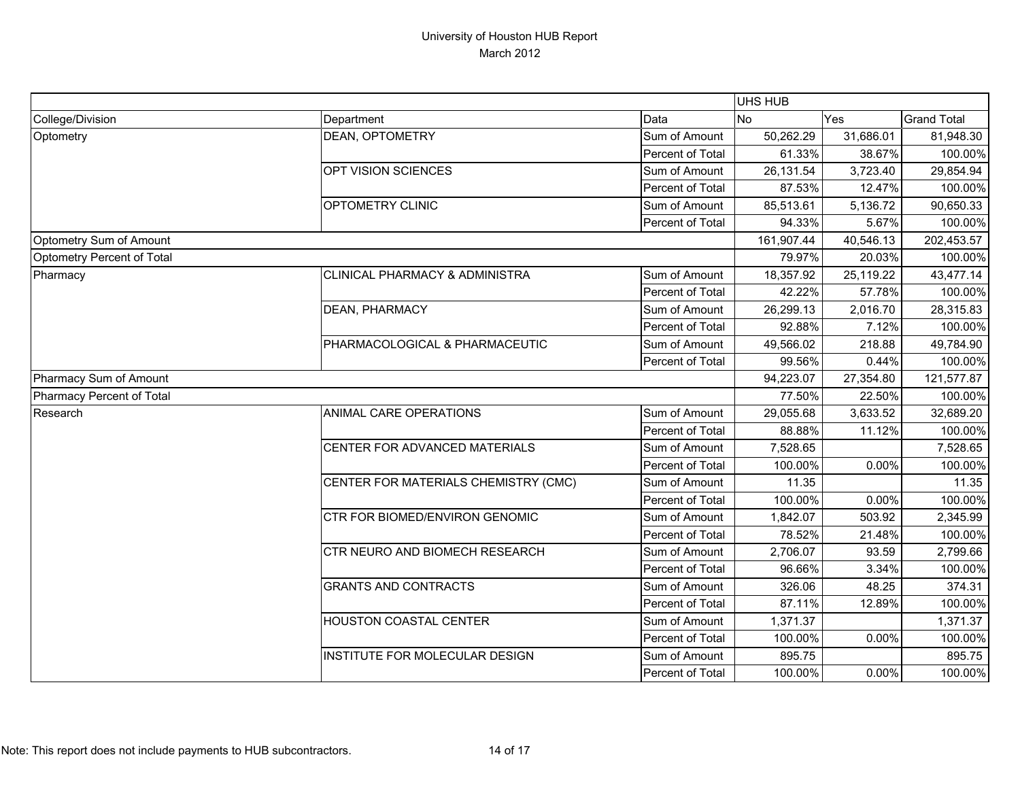|                            |                                      |                  | <b>UHS HUB</b> |            |                    |
|----------------------------|--------------------------------------|------------------|----------------|------------|--------------------|
| College/Division           | Department                           | Data             | <b>No</b>      | Yes        | <b>Grand Total</b> |
| Optometry                  | DEAN, OPTOMETRY                      | Sum of Amount    | 50,262.29      | 31,686.01  | 81,948.30          |
|                            |                                      | Percent of Total | 61.33%         | 38.67%     | 100.00%            |
|                            | OPT VISION SCIENCES                  | Sum of Amount    | 26,131.54      | 3,723.40   | 29,854.94          |
|                            |                                      | Percent of Total | 87.53%         | 12.47%     | 100.00%            |
|                            | OPTOMETRY CLINIC                     | Sum of Amount    | 85,513.61      | 5,136.72   | 90,650.33          |
|                            |                                      | Percent of Total | 94.33%         | 5.67%      | 100.00%            |
| Optometry Sum of Amount    |                                      |                  | 161,907.44     | 40,546.13  | 202,453.57         |
| Optometry Percent of Total |                                      |                  | 79.97%         | 20.03%     | 100.00%            |
| Pharmacy                   | CLINICAL PHARMACY & ADMINISTRA       | Sum of Amount    | 18,357.92      | 25,119.22  | 43,477.14          |
|                            |                                      | Percent of Total | 42.22%         | 57.78%     | 100.00%            |
|                            | DEAN, PHARMACY                       | Sum of Amount    | 26,299.13      | 2,016.70   | 28,315.83          |
|                            |                                      | Percent of Total | 92.88%         | 7.12%      | 100.00%            |
|                            | PHARMACOLOGICAL & PHARMACEUTIC       | Sum of Amount    | 49,566.02      | 218.88     | 49,784.90          |
|                            |                                      | Percent of Total | 99.56%         | 0.44%      | 100.00%            |
| Pharmacy Sum of Amount     |                                      | 94,223.07        | 27,354.80      | 121,577.87 |                    |
| Pharmacy Percent of Total  |                                      |                  | 77.50%         | 22.50%     | 100.00%            |
| Research                   | ANIMAL CARE OPERATIONS               | Sum of Amount    | 29,055.68      | 3,633.52   | 32,689.20          |
|                            |                                      | Percent of Total | 88.88%         | 11.12%     | 100.00%            |
|                            | CENTER FOR ADVANCED MATERIALS        | Sum of Amount    | 7,528.65       |            | 7,528.65           |
|                            |                                      | Percent of Total | 100.00%        | 0.00%      | 100.00%            |
|                            | CENTER FOR MATERIALS CHEMISTRY (CMC) | Sum of Amount    | 11.35          |            | 11.35              |
|                            |                                      | Percent of Total | 100.00%        | 0.00%      | 100.00%            |
|                            | CTR FOR BIOMED/ENVIRON GENOMIC       | Sum of Amount    | 1,842.07       | 503.92     | 2,345.99           |
|                            |                                      | Percent of Total | 78.52%         | 21.48%     | 100.00%            |
|                            | CTR NEURO AND BIOMECH RESEARCH       | Sum of Amount    | 2,706.07       | 93.59      | 2,799.66           |
|                            |                                      | Percent of Total | 96.66%         | 3.34%      | 100.00%            |
|                            | <b>GRANTS AND CONTRACTS</b>          | Sum of Amount    | 326.06         | 48.25      | 374.31             |
|                            |                                      | Percent of Total | 87.11%         | 12.89%     | 100.00%            |
|                            | HOUSTON COASTAL CENTER               | Sum of Amount    | 1,371.37       |            | 1,371.37           |
|                            |                                      | Percent of Total | 100.00%        | 0.00%      | 100.00%            |
|                            | INSTITUTE FOR MOLECULAR DESIGN       | Sum of Amount    | 895.75         |            | 895.75             |
|                            |                                      | Percent of Total | 100.00%        | 0.00%      | 100.00%            |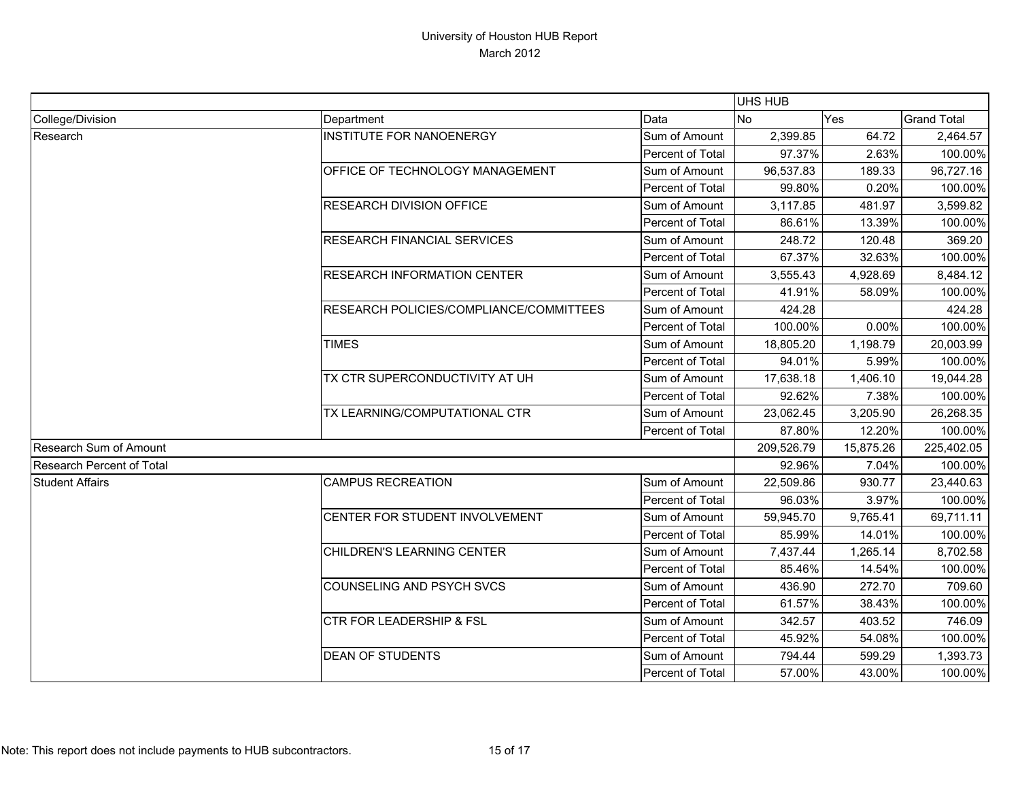|                                  |                                                |                  | <b>UHS HUB</b> |           |                    |
|----------------------------------|------------------------------------------------|------------------|----------------|-----------|--------------------|
| College/Division                 | Department                                     | Data             | No             | Yes       | <b>Grand Total</b> |
| Research                         | <b>INSTITUTE FOR NANOENERGY</b>                | Sum of Amount    | 2,399.85       | 64.72     | 2,464.57           |
|                                  |                                                | Percent of Total | 97.37%         | 2.63%     | 100.00%            |
|                                  | OFFICE OF TECHNOLOGY MANAGEMENT                | Sum of Amount    | 96,537.83      | 189.33    | 96,727.16          |
|                                  |                                                | Percent of Total | 99.80%         | 0.20%     | 100.00%            |
|                                  | <b>RESEARCH DIVISION OFFICE</b>                | Sum of Amount    | 3,117.85       | 481.97    | 3,599.82           |
|                                  |                                                | Percent of Total | 86.61%         | 13.39%    | 100.00%            |
|                                  | <b>RESEARCH FINANCIAL SERVICES</b>             | Sum of Amount    | 248.72         | 120.48    | 369.20             |
|                                  |                                                | Percent of Total | 67.37%         | 32.63%    | 100.00%            |
|                                  | <b>RESEARCH INFORMATION CENTER</b>             | Sum of Amount    | 3,555.43       | 4,928.69  | 8,484.12           |
|                                  |                                                | Percent of Total | 41.91%         | 58.09%    | 100.00%            |
|                                  | <b>RESEARCH POLICIES/COMPLIANCE/COMMITTEES</b> | Sum of Amount    | 424.28         |           | 424.28             |
|                                  |                                                | Percent of Total | 100.00%        | 0.00%     | 100.00%            |
|                                  | <b>TIMES</b>                                   | Sum of Amount    | 18,805.20      | 1,198.79  | 20,003.99          |
|                                  |                                                | Percent of Total | 94.01%         | 5.99%     | 100.00%            |
|                                  | TX CTR SUPERCONDUCTIVITY AT UH                 | Sum of Amount    | 17,638.18      | 1,406.10  | 19,044.28          |
|                                  |                                                | Percent of Total | 92.62%         | 7.38%     | 100.00%            |
|                                  | TX LEARNING/COMPUTATIONAL CTR                  | Sum of Amount    | 23,062.45      | 3,205.90  | 26,268.35          |
|                                  |                                                | Percent of Total | 87.80%         | 12.20%    | 100.00%            |
| Research Sum of Amount           |                                                |                  | 209,526.79     | 15,875.26 | 225,402.05         |
| <b>Research Percent of Total</b> |                                                | 92.96%           | 7.04%          | 100.00%   |                    |
| <b>Student Affairs</b>           | <b>CAMPUS RECREATION</b>                       | Sum of Amount    | 22,509.86      | 930.77    | 23,440.63          |
|                                  |                                                | Percent of Total | 96.03%         | 3.97%     | 100.00%            |
|                                  | CENTER FOR STUDENT INVOLVEMENT                 | Sum of Amount    | 59,945.70      | 9,765.41  | 69,711.11          |
|                                  |                                                | Percent of Total | 85.99%         | 14.01%    | 100.00%            |
|                                  | CHILDREN'S LEARNING CENTER                     | Sum of Amount    | 7,437.44       | 1,265.14  | 8,702.58           |
|                                  |                                                | Percent of Total | 85.46%         | 14.54%    | 100.00%            |
|                                  | <b>COUNSELING AND PSYCH SVCS</b>               | Sum of Amount    | 436.90         | 272.70    | 709.60             |
|                                  |                                                | Percent of Total | 61.57%         | 38.43%    | 100.00%            |
|                                  | <b>CTR FOR LEADERSHIP &amp; FSL</b>            | Sum of Amount    | 342.57         | 403.52    | 746.09             |
|                                  |                                                | Percent of Total | 45.92%         | 54.08%    | 100.00%            |
|                                  | <b>DEAN OF STUDENTS</b>                        | Sum of Amount    | 794.44         | 599.29    | 1,393.73           |
|                                  |                                                | Percent of Total | 57.00%         | 43.00%    | 100.00%            |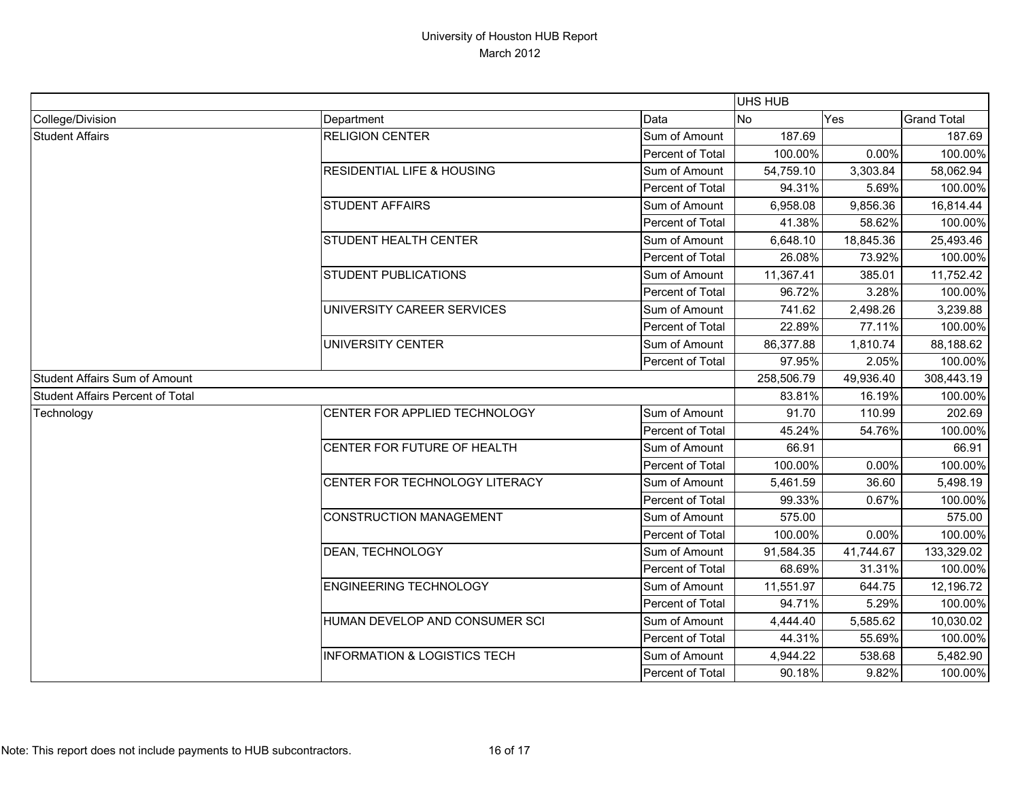|                                         |                                         |                  | UHS HUB   |            |                    |
|-----------------------------------------|-----------------------------------------|------------------|-----------|------------|--------------------|
| College/Division                        | Department                              | Data             | <b>No</b> | Yes        | <b>Grand Total</b> |
| <b>Student Affairs</b>                  | <b>RELIGION CENTER</b>                  | Sum of Amount    | 187.69    |            | 187.69             |
|                                         |                                         | Percent of Total | 100.00%   | 0.00%      | 100.00%            |
|                                         | <b>RESIDENTIAL LIFE &amp; HOUSING</b>   | Sum of Amount    | 54,759.10 | 3,303.84   | 58,062.94          |
|                                         |                                         | Percent of Total | 94.31%    | 5.69%      | 100.00%            |
|                                         | <b>STUDENT AFFAIRS</b>                  | Sum of Amount    | 6,958.08  | 9,856.36   | 16,814.44          |
|                                         |                                         | Percent of Total | 41.38%    | 58.62%     | 100.00%            |
|                                         | <b>STUDENT HEALTH CENTER</b>            | Sum of Amount    | 6,648.10  | 18,845.36  | 25,493.46          |
|                                         |                                         | Percent of Total | 26.08%    | 73.92%     | 100.00%            |
|                                         | <b>STUDENT PUBLICATIONS</b>             | Sum of Amount    | 11,367.41 | 385.01     | 11,752.42          |
|                                         |                                         | Percent of Total | 96.72%    | 3.28%      | 100.00%            |
|                                         | UNIVERSITY CAREER SERVICES              | Sum of Amount    | 741.62    | 2,498.26   | 3,239.88           |
|                                         |                                         | Percent of Total | 22.89%    | 77.11%     | 100.00%            |
|                                         | <b>UNIVERSITY CENTER</b>                | Sum of Amount    | 86,377.88 | 1,810.74   | 88,188.62          |
|                                         |                                         | Percent of Total | 97.95%    | 2.05%      | 100.00%            |
| <b>Student Affairs Sum of Amount</b>    |                                         | 258,506.79       | 49,936.40 | 308,443.19 |                    |
| <b>Student Affairs Percent of Total</b> |                                         |                  | 83.81%    | 16.19%     | 100.00%            |
| Technology                              | CENTER FOR APPLIED TECHNOLOGY           | Sum of Amount    | 91.70     | 110.99     | 202.69             |
|                                         |                                         | Percent of Total | 45.24%    | 54.76%     | 100.00%            |
|                                         | CENTER FOR FUTURE OF HEALTH             | Sum of Amount    | 66.91     |            | 66.91              |
|                                         |                                         | Percent of Total | 100.00%   | 0.00%      | 100.00%            |
|                                         | CENTER FOR TECHNOLOGY LITERACY          | Sum of Amount    | 5,461.59  | 36.60      | 5,498.19           |
|                                         |                                         | Percent of Total | 99.33%    | 0.67%      | 100.00%            |
|                                         | <b>CONSTRUCTION MANAGEMENT</b>          | Sum of Amount    | 575.00    |            | 575.00             |
|                                         |                                         | Percent of Total | 100.00%   | 0.00%      | 100.00%            |
|                                         | DEAN, TECHNOLOGY                        | Sum of Amount    | 91,584.35 | 41,744.67  | 133,329.02         |
|                                         |                                         | Percent of Total | 68.69%    | 31.31%     | 100.00%            |
|                                         | <b>ENGINEERING TECHNOLOGY</b>           | Sum of Amount    | 11,551.97 | 644.75     | 12,196.72          |
|                                         |                                         | Percent of Total | 94.71%    | 5.29%      | 100.00%            |
|                                         | HUMAN DEVELOP AND CONSUMER SCI          | Sum of Amount    | 4,444.40  | 5,585.62   | 10,030.02          |
|                                         |                                         | Percent of Total | 44.31%    | 55.69%     | 100.00%            |
|                                         | <b>INFORMATION &amp; LOGISTICS TECH</b> | Sum of Amount    | 4,944.22  | 538.68     | 5,482.90           |
|                                         |                                         | Percent of Total | 90.18%    | 9.82%      | 100.00%            |